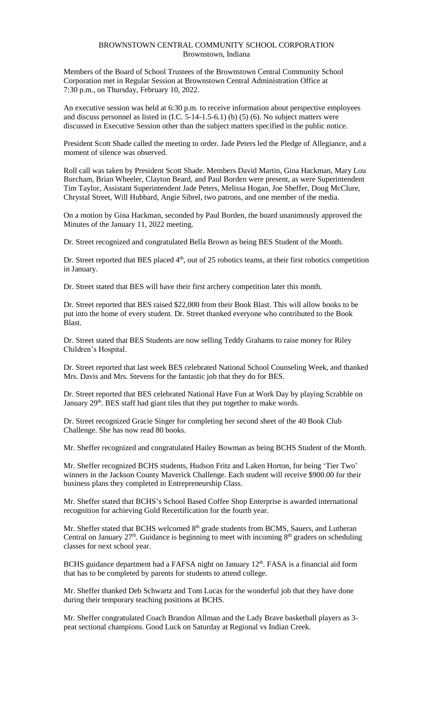## BROWNSTOWN CENTRAL COMMUNITY SCHOOL CORPORATION Brownstown, Indiana

Members of the Board of School Trustees of the Brownstown Central Community School Corporation met in Regular Session at Brownstown Central Administration Office at 7:30 p.m., on Thursday, February 10, 2022.

An executive session was held at 6:30 p.m. to receive information about perspective employees and discuss personnel as listed in  $(I.C. 5-14-1.5-6.1)$  (b)  $(5)$  (6). No subject matters were discussed in Executive Session other than the subject matters specified in the public notice.

President Scott Shade called the meeting to order. Jade Peters led the Pledge of Allegiance, and a moment of silence was observed.

Roll call was taken by President Scott Shade. Members David Martin, Gina Hackman, Mary Lou Burcham, Brian Wheeler, Clayton Beard, and Paul Borden were present, as were Superintendent Tim Taylor, Assistant Superintendent Jade Peters, Melissa Hogan, Joe Sheffer, Doug McClure, Chrystal Street, Will Hubbard, Angie Sibrel, two patrons, and one member of the media.

On a motion by Gina Hackman, seconded by Paul Borden, the board unanimously approved the Minutes of the January 11, 2022 meeting.

Dr. Street recognized and congratulated Bella Brown as being BES Student of the Month.

Dr. Street reported that BES placed 4<sup>th</sup>, out of 25 robotics teams, at their first robotics competition in January.

Dr. Street stated that BES will have their first archery competition later this month.

Dr. Street reported that BES raised \$22,000 from their Book Blast. This will allow books to be put into the home of every student. Dr. Street thanked everyone who contributed to the Book Blast.

Dr. Street stated that BES Students are now selling Teddy Grahams to raise money for Riley Children's Hospital.

Dr. Street reported that last week BES celebrated National School Counseling Week, and thanked Mrs. Davis and Mrs. Stevens for the fantastic job that they do for BES.

Dr. Street reported that BES celebrated National Have Fun at Work Day by playing Scrabble on January 29<sup>th</sup>. BES staff had giant tiles that they put together to make words.

Dr. Street recognized Gracie Singer for completing her second sheet of the 40 Book Club Challenge. She has now read 80 books.

Mr. Sheffer recognized and congratulated Hailey Bowman as being BCHS Student of the Month.

Mr. Sheffer recognized BCHS students, Hudson Fritz and Laken Horton, for being 'Tier Two' winners in the Jackson County Maverick Challenge. Each student will receive \$900.00 for their business plans they completed in Entrepreneurship Class.

Mr. Sheffer stated that BCHS's School Based Coffee Shop Enterprise is awarded international recognition for achieving Gold Recertification for the fourth year.

Mr. Sheffer stated that BCHS welcomed 8<sup>th</sup> grade students from BCMS, Sauers, and Lutheran Central on January  $27<sup>th</sup>$ . Guidance is beginning to meet with incoming  $8<sup>th</sup>$  graders on scheduling classes for next school year.

BCHS guidance department had a FAFSA night on January 12<sup>th</sup>. FASA is a financial aid form that has to be completed by parents for students to attend college.

Mr. Sheffer thanked Deb Schwartz and Tom Lucas for the wonderful job that they have done during their temporary teaching positions at BCHS.

Mr. Sheffer congratulated Coach Brandon Allman and the Lady Brave basketball players as 3 peat sectional champions. Good Luck on Saturday at Regional vs Indian Creek.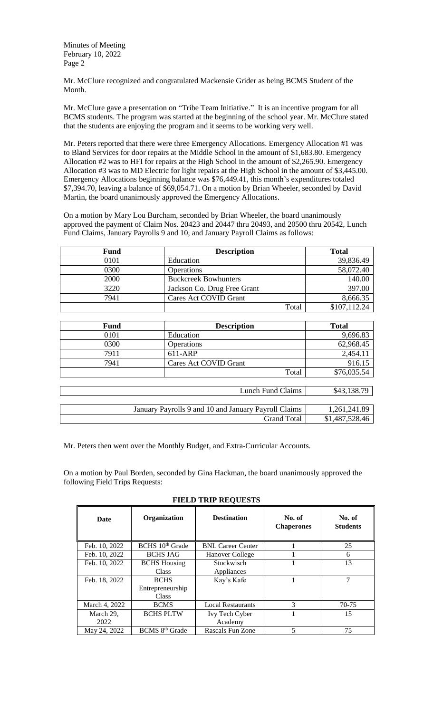Mr. McClure recognized and congratulated Mackensie Grider as being BCMS Student of the Month.

Mr. McClure gave a presentation on "Tribe Team Initiative." It is an incentive program for all BCMS students. The program was started at the beginning of the school year. Mr. McClure stated that the students are enjoying the program and it seems to be working very well.

Mr. Peters reported that there were three Emergency Allocations. Emergency Allocation #1 was to Bland Services for door repairs at the Middle School in the amount of \$1,683.80. Emergency Allocation #2 was to HFI for repairs at the High School in the amount of \$2,265.90. Emergency Allocation #3 was to MD Electric for light repairs at the High School in the amount of \$3,445.00. Emergency Allocations beginning balance was \$76,449.41, this month's expenditures totaled \$7,394.70, leaving a balance of \$69,054.71. On a motion by Brian Wheeler, seconded by David Martin, the board unanimously approved the Emergency Allocations.

On a motion by Mary Lou Burcham, seconded by Brian Wheeler, the board unanimously approved the payment of Claim Nos. 20423 and 20447 thru 20493, and 20500 thru 20542, Lunch Fund Claims, January Payrolls 9 and 10, and January Payroll Claims as follows:

| Fund | <b>Description</b>          | <b>Total</b> |
|------|-----------------------------|--------------|
| 0101 | Education                   | 39,836.49    |
| 0300 | Operations                  | 58,072.40    |
| 2000 | <b>Buckcreek Bowhunters</b> | 140.00       |
| 3220 | Jackson Co. Drug Free Grant | 397.00       |
| 7941 | Cares Act COVID Grant       | 8,666.35     |
|      | Total                       | \$107,112.24 |

| Fund | <b>Description</b>    | <b>Total</b> |
|------|-----------------------|--------------|
| 0101 | Education             | 9,696.83     |
| 0300 | <b>Operations</b>     | 62,968.45    |
| 7911 | 611-ARP               | 2,454.11     |
| 7941 | Cares Act COVID Grant | 916.15       |
|      | Total                 | \$76,035.54  |
|      |                       |              |
|      | Lunch Fund Claims     | \$43,138.79  |

| Lanvil 1 and Ciamillo                                | $V' \cup I \cup V' \cup I$ |
|------------------------------------------------------|----------------------------|
|                                                      |                            |
| January Payrolls 9 and 10 and January Payroll Claims | 1,261,241.89               |
| Grand Total                                          | \$1,487,528.46             |
|                                                      |                            |

Mr. Peters then went over the Monthly Budget, and Extra-Curricular Accounts.

On a motion by Paul Borden, seconded by Gina Hackman, the board unanimously approved the following Field Trips Requests:

| Date              | Organization                                    | <b>Destination</b>        | No. of<br><b>Chaperones</b> | No. of<br><b>Students</b> |
|-------------------|-------------------------------------------------|---------------------------|-----------------------------|---------------------------|
| Feb. 10, 2022     | BCHS 10 <sup>th</sup> Grade                     | <b>BNL Career Center</b>  |                             | 25                        |
| Feb. 10, 2022     | <b>BCHS JAG</b>                                 | Hanover College           |                             | 6                         |
| Feb. 10, 2022     | <b>BCHS</b> Housing<br><b>Class</b>             | Stuckwisch<br>Appliances  |                             | 13                        |
| Feb. 18, 2022     | <b>BCHS</b><br>Entrepreneurship<br><b>Class</b> | Kay's Kafe                |                             | 7                         |
| March 4, 2022     | <b>BCMS</b>                                     | <b>Local Restaurants</b>  | 3                           | 70-75                     |
| March 29,<br>2022 | <b>BCHS PLTW</b>                                | Ivy Tech Cyber<br>Academy |                             | 15                        |
| May 24, 2022      | BCMS 8 <sup>th</sup> Grade                      | Rascals Fun Zone          | 5                           | 75                        |

**FIELD TRIP REQUESTS**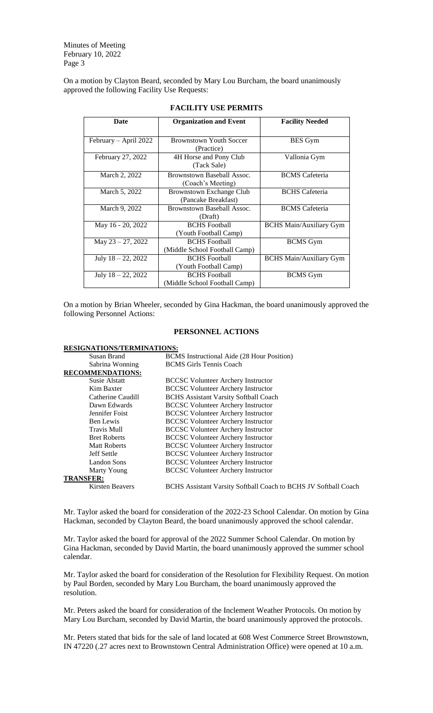On a motion by Clayton Beard, seconded by Mary Lou Burcham, the board unanimously approved the following Facility Use Requests:

| <b>Date</b>           | <b>Organization and Event</b>  | <b>Facility Needed</b>         |
|-----------------------|--------------------------------|--------------------------------|
|                       |                                |                                |
| February - April 2022 | <b>Brownstown Youth Soccer</b> | <b>BES</b> Gym                 |
|                       | (Practice)                     |                                |
| February 27, 2022     | 4H Horse and Pony Club         | Vallonia Gym                   |
|                       | (Tack Sale)                    |                                |
| March 2, 2022         | Brownstown Baseball Assoc.     | <b>BCMS</b> Cafeteria          |
|                       | (Coach's Meeting)              |                                |
| March 5, 2022         | Brownstown Exchange Club       | <b>BCHS</b> Cafeteria          |
|                       | (Pancake Breakfast)            |                                |
| March 9, 2022         | Brownstown Baseball Assoc.     | <b>BCMS</b> Cafeteria          |
|                       | (Draft)                        |                                |
| May 16 - 20, 2022     | <b>BCHS</b> Football           | <b>BCHS Main/Auxiliary Gym</b> |
|                       | (Youth Football Camp)          |                                |
| May $23 - 27$ , 2022  | <b>BCHS</b> Football           | <b>BCMS</b> Gym                |
|                       | (Middle School Football Camp)  |                                |
| July $18 - 22$ , 2022 | <b>BCHS</b> Football           | <b>BCHS Main/Auxiliary Gym</b> |
|                       | (Youth Football Camp)          |                                |
| July $18 - 22$ , 2022 | <b>BCHS</b> Football           | <b>BCMS</b> Gym                |
|                       | (Middle School Football Camp)  |                                |

## **FACILITY USE PERMITS**

On a motion by Brian Wheeler, seconded by Gina Hackman, the board unanimously approved the following Personnel Actions:

## **PERSONNEL ACTIONS**

| <b>RESIGNATIONS/TERMINATIONS:</b> |                                                                 |
|-----------------------------------|-----------------------------------------------------------------|
| Susan Brand                       | BCMS Instructional Aide (28 Hour Position)                      |
| Sabrina Wonning                   | <b>BCMS</b> Girls Tennis Coach                                  |
| <b>RECOMMENDATIONS:</b>           |                                                                 |
| Susie Alstatt                     | <b>BCCSC Volunteer Archery Instructor</b>                       |
| Kim Baxter                        | <b>BCCSC Volunteer Archery Instructor</b>                       |
| Catherine Caudill                 | <b>BCHS</b> Assistant Varsity Softball Coach                    |
| Dawn Edwards                      | <b>BCCSC Volunteer Archery Instructor</b>                       |
| Jennifer Foist                    | <b>BCCSC Volunteer Archery Instructor</b>                       |
| Ben Lewis                         | <b>BCCSC Volunteer Archery Instructor</b>                       |
| <b>Travis Mull</b>                | <b>BCCSC Volunteer Archery Instructor</b>                       |
| <b>Bret Roberts</b>               | <b>BCCSC Volunteer Archery Instructor</b>                       |
| <b>Matt Roberts</b>               | <b>BCCSC Volunteer Archery Instructor</b>                       |
| Jeff Settle                       | <b>BCCSC Volunteer Archery Instructor</b>                       |
| Landon Sons                       | <b>BCCSC Volunteer Archery Instructor</b>                       |
| Marty Young                       | <b>BCCSC Volunteer Archery Instructor</b>                       |
| <b>TRANSFER:</b>                  |                                                                 |
| <b>Kirsten Beavers</b>            | BCHS Assistant Varsity Softball Coach to BCHS JV Softball Coach |

Mr. Taylor asked the board for consideration of the 2022-23 School Calendar. On motion by Gina Hackman, seconded by Clayton Beard, the board unanimously approved the school calendar.

Mr. Taylor asked the board for approval of the 2022 Summer School Calendar. On motion by Gina Hackman, seconded by David Martin, the board unanimously approved the summer school calendar.

Mr. Taylor asked the board for consideration of the Resolution for Flexibility Request. On motion by Paul Borden, seconded by Mary Lou Burcham, the board unanimously approved the resolution.

Mr. Peters asked the board for consideration of the Inclement Weather Protocols. On motion by Mary Lou Burcham, seconded by David Martin, the board unanimously approved the protocols.

Mr. Peters stated that bids for the sale of land located at 608 West Commerce Street Brownstown, IN 47220 (.27 acres next to Brownstown Central Administration Office) were opened at 10 a.m.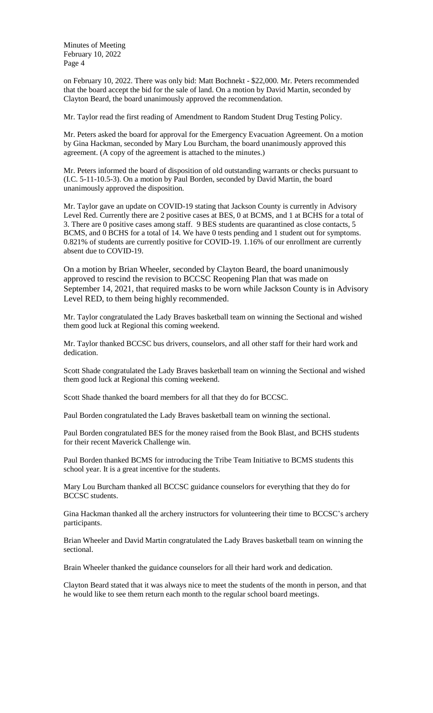on February 10, 2022. There was only bid: Matt Bochnekt - \$22,000. Mr. Peters recommended that the board accept the bid for the sale of land. On a motion by David Martin, seconded by Clayton Beard, the board unanimously approved the recommendation.

Mr. Taylor read the first reading of Amendment to Random Student Drug Testing Policy.

Mr. Peters asked the board for approval for the Emergency Evacuation Agreement. On a motion by Gina Hackman, seconded by Mary Lou Burcham, the board unanimously approved this agreement. (A copy of the agreement is attached to the minutes.)

Mr. Peters informed the board of disposition of old outstanding warrants or checks pursuant to (I.C. 5-11-10.5-3). On a motion by Paul Borden, seconded by David Martin, the board unanimously approved the disposition.

Mr. Taylor gave an update on COVID-19 stating that Jackson County is currently in Advisory Level Red. Currently there are 2 positive cases at BES, 0 at BCMS, and 1 at BCHS for a total of 3. There are 0 positive cases among staff. 9 BES students are quarantined as close contacts, 5 BCMS, and 0 BCHS for a total of 14. We have 0 tests pending and 1 student out for symptoms. 0.821% of students are currently positive for COVID-19. 1.16% of our enrollment are currently absent due to COVID-19.

On a motion by Brian Wheeler, seconded by Clayton Beard, the board unanimously approved to rescind the revision to BCCSC Reopening Plan that was made on September 14, 2021, that required masks to be worn while Jackson County is in Advisory Level RED, to them being highly recommended.

Mr. Taylor congratulated the Lady Braves basketball team on winning the Sectional and wished them good luck at Regional this coming weekend.

Mr. Taylor thanked BCCSC bus drivers, counselors, and all other staff for their hard work and dedication.

Scott Shade congratulated the Lady Braves basketball team on winning the Sectional and wished them good luck at Regional this coming weekend.

Scott Shade thanked the board members for all that they do for BCCSC.

Paul Borden congratulated the Lady Braves basketball team on winning the sectional.

Paul Borden congratulated BES for the money raised from the Book Blast, and BCHS students for their recent Maverick Challenge win.

Paul Borden thanked BCMS for introducing the Tribe Team Initiative to BCMS students this school year. It is a great incentive for the students.

Mary Lou Burcham thanked all BCCSC guidance counselors for everything that they do for BCCSC students.

Gina Hackman thanked all the archery instructors for volunteering their time to BCCSC's archery participants.

Brian Wheeler and David Martin congratulated the Lady Braves basketball team on winning the sectional.

Brain Wheeler thanked the guidance counselors for all their hard work and dedication.

Clayton Beard stated that it was always nice to meet the students of the month in person, and that he would like to see them return each month to the regular school board meetings.